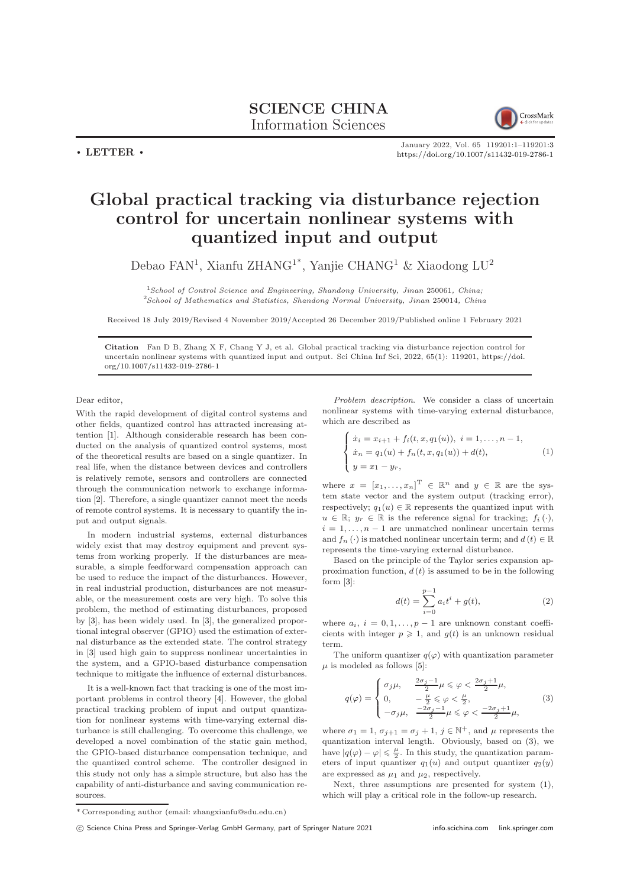

January 2022, Vol. 65 119201:1–119201[:3](#page-2-0) <https://doi.org/10.1007/s11432-019-2786-1>

## Global practical tracking via disturbance rejection control for uncertain nonlinear systems with quantized input and output

Debao FAN<sup>1</sup>, Xianfu ZHANG<sup>1\*</sup>, Yanjie CHANG<sup>1</sup> & Xiaodong LU<sup>2</sup>

<sup>1</sup>School of Control Science and Engineering, Shandong University, Jinan 250061, China; <sup>2</sup>School of Mathematics and Statistics, Shandong Normal University, Jinan 250014, China

Received 18 July 2019/Revised 4 November 2019/Accepted 26 December 2019/Published online 1 February 2021

Citation Fan D B, Zhang X F, Chang Y J, et al. Global practical tracking via disturbance rejection control for uncertain nonlinear systems with quantized input and output. Sci China Inf Sci, 2022, 65(1): 119201, [https://doi.](https://doi.org/10.1007/s11432-019-2786-1) [org/10.1007/s11432-019-2786-1](https://doi.org/10.1007/s11432-019-2786-1)

Dear editor,

 $\cdot$  LETTER  $\cdot$ 

With the rapid development of digital control systems and other fields, quantized control has attracted increasing attention [\[1\]](#page-2-1). Although considerable research has been conducted on the analysis of quantized control systems, most of the theoretical results are based on a single quantizer. In real life, when the distance between devices and controllers is relatively remote, sensors and controllers are connected through the communication network to exchange information [\[2\]](#page-2-2). Therefore, a single quantizer cannot meet the needs of remote control systems. It is necessary to quantify the input and output signals.

In modern industrial systems, external disturbances widely exist that may destroy equipment and prevent systems from working properly. If the disturbances are measurable, a simple feedforward compensation approach can be used to reduce the impact of the disturbances. However, in real industrial production, disturbances are not measurable, or the measurement costs are very high. To solve this problem, the method of estimating disturbances, proposed by [\[3\]](#page-2-3), has been widely used. In [\[3\]](#page-2-3), the generalized proportional integral observer (GPIO) used the estimation of external disturbance as the extended state. The control strategy in [\[3\]](#page-2-3) used high gain to suppress nonlinear uncertainties in the system, and a GPIO-based disturbance compensation technique to mitigate the influence of external disturbances.

It is a well-known fact that tracking is one of the most important problems in control theory [\[4\]](#page-2-4). However, the global practical tracking problem of input and output quantization for nonlinear systems with time-varying external disturbance is still challenging. To overcome this challenge, we developed a novel combination of the static gain method, the GPIO-based disturbance compensation technique, and the quantized control scheme. The controller designed in this study not only has a simple structure, but also has the capability of anti-disturbance and saving communication resources.

Problem description. We consider a class of uncertain nonlinear systems with time-varying external disturbance, which are described as

<span id="page-0-1"></span>
$$
\begin{cases}\n\dot{x}_i = x_{i+1} + f_i(t, x, q_1(u)), \ i = 1, \dots, n-1, \\
\dot{x}_n = q_1(u) + f_n(t, x, q_1(u)) + d(t), \\
y = x_1 - y_r,\n\end{cases} \tag{1}
$$

where  $x = [x_1, \ldots, x_n]^T \in \mathbb{R}^n$  and  $y \in \mathbb{R}$  are the system state vector and the system output (tracking error), respectively;  $q_1(u) \in \mathbb{R}$  represents the quantized input with  $u \in \mathbb{R}; y_r \in \mathbb{R}$  is the reference signal for tracking;  $f_i(\cdot)$ ,  $i = 1, \ldots, n - 1$  are unmatched nonlinear uncertain terms and  $f_n(\cdot)$  is matched nonlinear uncertain term; and  $d(t) \in \mathbb{R}$ represents the time-varying external disturbance.

Based on the principle of the Taylor series expansion approximation function,  $d(t)$  is assumed to be in the following form [\[3\]](#page-2-3):

<span id="page-0-2"></span>
$$
d(t) = \sum_{i=0}^{p-1} a_i t^i + g(t),
$$
 (2)

where  $a_i$ ,  $i = 0, 1, \ldots, p - 1$  are unknown constant coefficients with integer  $p \geq 1$ , and  $q(t)$  is an unknown residual term.

The uniform quantizer  $q(\varphi)$  with quantization parameter  $\mu$  is modeled as follows [\[5\]](#page-2-5):

<span id="page-0-0"></span>
$$
q(\varphi) = \begin{cases} \sigma_j \mu, & \frac{2\sigma_j - 1}{2}\mu \leq \varphi < \frac{2\sigma_j + 1}{2}\mu, \\ 0, & -\frac{\mu}{2} \leq \varphi < \frac{\mu}{2}, \\ -\sigma_j \mu, & \frac{-2\sigma_j - 1}{2}\mu \leq \varphi < \frac{-2\sigma_j + 1}{2}\mu, \end{cases} \tag{3}
$$

where  $\sigma_1 = 1$ ,  $\sigma_{j+1} = \sigma_j + 1$ ,  $j \in \mathbb{N}^+$ , and  $\mu$  represents the quantization interval length. Obviously, based on [\(3\)](#page-0-0), we have  $|q(\varphi) - \varphi| \leq \frac{\mu}{2}$ . In this study, the quantization parameters of input quantizer  $q_1(u)$  and output quantizer  $q_2(y)$ are expressed as  $\mu_1$  and  $\mu_2$ , respectively.

Next, three assumptions are presented for system [\(1\)](#page-0-1), which will play a critical role in the follow-up research.

<sup>\*</sup> Corresponding author (email: zhangxianfu@sdu.edu.cn)

c Science China Press and Springer-Verlag GmbH Germany, part of Springer Nature 2021 <info.scichina.com><link.springer.com>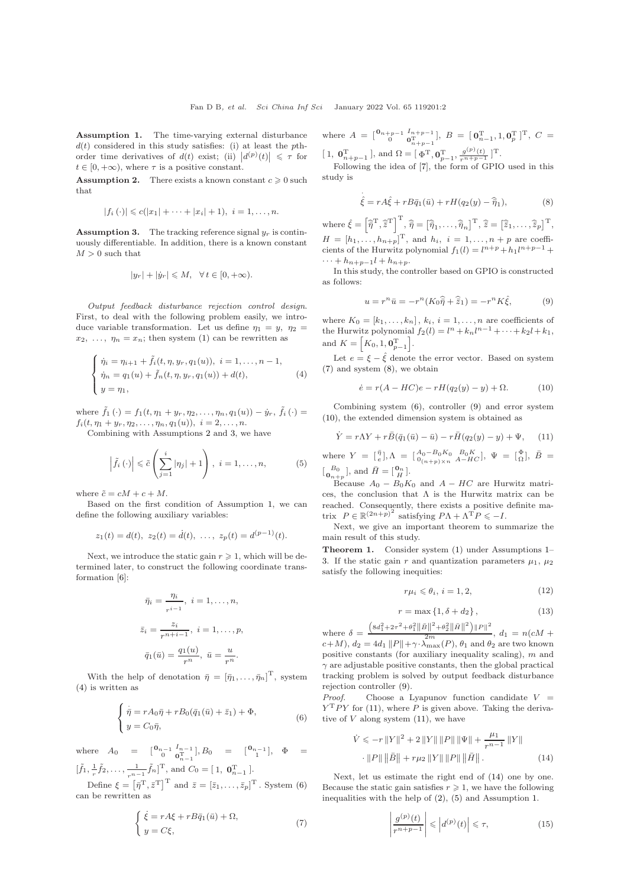<span id="page-1-2"></span>Assumption 1. The time-varying external disturbance  $d(t)$  considered in this study satisfies: (i) at least the pthorder time derivatives of  $d(t)$  exist; (ii)  $|d^{(p)}(t)| \leq \tau$  for  $t \in [0, +\infty)$ , where  $\tau$  is a positive constant.

<span id="page-1-0"></span>**Assumption 2.** There exists a known constant  $c \geq 0$  such that

$$
|f_i(\cdot)| \leq c(|x_1| + \cdots + |x_i| + 1), \ i = 1, \ldots, n.
$$

<span id="page-1-1"></span>**Assumption 3.** The tracking reference signal  $y_r$  is continuously differentiable. In addition, there is a known constant  $M > 0$  such that

$$
|y_r| + |\dot{y}_r| \leq M, \quad \forall \, t \in [0, +\infty).
$$

Output feedback disturbance rejection control design. First, to deal with the following problem easily, we introduce variable transformation. Let us define  $\eta_1 = y$ ,  $\eta_2 =$  $x_2, \ldots, \eta_n = x_n$ ; then system [\(1\)](#page-0-1) can be rewritten as

<span id="page-1-3"></span>
$$
\begin{cases} \n\dot{\eta}_i = \eta_{i+1} + \tilde{f}_i(t, \eta, y_r, q_1(u)), \ i = 1, \dots, n-1, \\
\dot{\eta}_n = q_1(u) + \tilde{f}_n(t, \eta, y_r, q_1(u)) + d(t), \\
y = \eta_1, \n\end{cases} \tag{4}
$$

where  $\tilde{f}_1(\cdot) = f_1(t, \eta_1 + y_r, \eta_2, \ldots, \eta_n, q_1(u)) - \dot{y}_r$ ,  $\tilde{f}_i(\cdot) =$  $f_i(t, \eta_1 + y_r, \eta_2, \ldots, \eta_n, q_1(u)), i = 2, \ldots, n.$ 

Combining with Assumptions [2](#page-1-0) and [3,](#page-1-1) we have

<span id="page-1-11"></span>
$$
\left|\tilde{f}_i\left(\cdot\right)\right| \leqslant \tilde{c}\left(\sum_{j=1}^i |\eta_j| + 1\right), \ i = 1, \dots, n,\tag{5}
$$

where  $\tilde{c} = cM + c + M$ .

Based on the first condition of Assumption [1,](#page-1-2) we can define the following auxiliary variables:

$$
z_1(t) = d(t), z_2(t) = \dot{d}(t), \ldots, z_p(t) = d^{(p-1)}(t).
$$

Next, we introduce the static gain  $r \geq 1$ , which will be determined later, to construct the following coordinate transformation [\[6\]](#page-2-6):

$$
\bar{\eta}_i = \frac{\eta_i}{r^{i-1}}, \ i = 1, \dots, n,
$$
  

$$
\bar{z}_i = \frac{z_i}{r^{n+i-1}}, \ i = 1, \dots, p,
$$
  

$$
\bar{q}_1(\bar{u}) = \frac{q_1(u)}{r^n}, \ \bar{u} = \frac{u}{r^n}.
$$

With the help of denotation  $\bar{\eta} = [\bar{\eta}_1, \ldots, \bar{\eta}_n]^{\mathrm{T}}$ , system [\(4\)](#page-1-3) is written as

<span id="page-1-4"></span>
$$
\begin{cases} \n\dot{\bar{\eta}} = rA_0\bar{\eta} + rB_0(\bar{q}_1(\bar{u}) + \bar{z}_1) + \Phi, \\
y = C_0\bar{\eta},\n\end{cases} \tag{6}
$$

where  $A_0 = \begin{bmatrix} 0_{n-1} & I_{n-1} \\ 0 & 0_{n-1}^T \end{bmatrix}, B_0 = \begin{bmatrix} 0_{n-1} \\ 1 \end{bmatrix}, \Phi =$  $n-1$  $[\tilde{f}_1, \frac{1}{r}\tilde{f}_2, \dots, \frac{1}{r^{n-1}}\tilde{f}_n]^{\mathrm{T}}$ , and  $C_0 = [1, 0]_{n-1}^{\mathrm{T}}$ .

Define  $\xi = \left[\bar{\eta}^T, \bar{z}^T\right]^T$  and  $\bar{z} = \left[\bar{z}_1, \ldots, \bar{z}_p\right]^T$ . System [\(6\)](#page-1-4) can be rewritten as

<span id="page-1-5"></span>
$$
\begin{cases} \dot{\xi} = rA\xi + rB\bar{q}_1(\bar{u}) + \Omega, \\ y = C\xi, \end{cases}
$$
\n(7)

where  $A = \begin{bmatrix} 0_{n+p-1} & I_{n+p-1} \\ 0 & 0_{n+p-1}^T \end{bmatrix}$ ,  $B = \begin{bmatrix} 0_{n-1}^T, 1, 0_p^T \end{bmatrix}^T$ ,  $C =$ [1,  $\mathbf{0}_{n+p-1}^{\mathrm{T}}$ ], and  $\Omega = [\Phi^{\mathrm{T}}, \mathbf{0}_{p-1}^{\mathrm{T}}, \frac{g^{(p)}(t)}{r^{n+p-1}}]^{\mathrm{T}}$ .

Following the idea of [\[7\]](#page-2-7), the form of GPIO used in this study is

<span id="page-1-6"></span>
$$
\dot{\hat{\xi}} = rA\hat{\xi} + rB\bar{q}_1(\bar{u}) + rH(q_2(y) - \hat{\bar{\eta}}_1),
$$
\n(8)

where  $\hat{\xi} = \left[\hat{\overline{\eta}}^{\mathrm{T}}, \hat{\overline{z}}^{\mathrm{T}}\right]^{\mathrm{T}}, \hat{\overline{\eta}} = \left[\hat{\overline{\eta}}_1, \dots, \hat{\overline{\eta}}_n\right]^{\mathrm{T}}, \hat{\overline{z}} = \left[\hat{\overline{z}}_1, \dots, \hat{\overline{z}}_p\right]^{\mathrm{T}},$  $H = [h_1, ..., h_{n+p}]^{\mathrm{T}}$ , and  $h_i$ ,  $i = 1, ..., n+p$  are coefficients of the Hurwitz polynomial  $f_1(l) = l^{n+p} + h_1 l^{n+p-1} +$  $\cdots + h_{n+p-1}l + h_{n+p}.$ 

In this study, the controller based on GPIO is constructed as follows:

<span id="page-1-7"></span>
$$
u = r^n \bar{u} = -r^n (K_0 \hat{\overline{\eta}} + \hat{\overline{z}}_1) = -r^n K \hat{\xi}, \qquad (9)
$$

where  $K_0 = [k_1, \ldots, k_n]$ ,  $k_i$ ,  $i = 1, \ldots, n$  are coefficients of the Hurwitz polynomial  $f_2(l) = l^n + k_n l^{n-1} + \cdots + k_2 l + k_1$ , and  $K = [K_0, 1, \mathbf{0}_{p-1}^{\mathrm{T}}].$ 

Let  $e = \xi - \hat{\xi}$  denote the error vector. Based on system [\(7\)](#page-1-5) and system [\(8\)](#page-1-6), we obtain

<span id="page-1-8"></span>
$$
\dot{e} = r(A - HC)e - rH(q_2(y) - y) + \Omega.
$$
 (10)

Combining system [\(6\)](#page-1-4), controller [\(9\)](#page-1-7) and error system [\(10\)](#page-1-8), the extended dimension system is obtained as

<span id="page-1-9"></span>
$$
\dot{Y} = r\Lambda Y + r\bar{B}(\bar{q}_1(\bar{u}) - \bar{u}) - r\bar{H}(q_2(y) - y) + \Psi,
$$
 (11)

where  $Y = \begin{bmatrix} \bar{\eta} \\ e \end{bmatrix}$ ,  $\Lambda = \begin{bmatrix} A_0 - B_0 K_0 & B_0 K \\ 0_{(n+p)\times n} & A - HC \end{bmatrix}$ ,  $\Psi = \begin{bmatrix} \Phi \\ \Omega \end{bmatrix}$ ,  $\bar{B} =$  $\begin{bmatrix} B_0 \\ \mathbf{0}_{n+p} \end{bmatrix}$ , and  $\bar{H} = \begin{bmatrix} \mathbf{0}_n \\ H \end{bmatrix}$ .

Because  $A_0 - B_0 K_0$  and  $A - HC$  are Hurwitz matrices, the conclusion that  $\Lambda$  is the Hurwitz matrix can be reached. Consequently, there exists a positive definite matrix  $P \in \mathbb{R}^{(2n+p)^2}$  satisfying  $P\Lambda + \Lambda^T P \leq -I$ .

Next, we give an important theorem to summarize the main result of this study.

<span id="page-1-15"></span>Theorem 1. Consider system [\(1\)](#page-0-1) under Assumptions [1–](#page-1-2) [3.](#page-1-1) If the static gain r and quantization parameters  $\mu_1$ ,  $\mu_2$ satisfy the following inequities:

<span id="page-1-12"></span>
$$
r\mu_i \leqslant \theta_i, \, i = 1, 2,\tag{12}
$$

<span id="page-1-14"></span>
$$
r = \max\left\{1, \delta + d_2\right\},\tag{13}
$$

where  $\delta = \frac{\left(8d_1^2 + 2\tau^2 + \theta_1^2 \|\bar{B}\|^2 + \theta_2^2 \|\bar{H}\|^2\right) \|P\|^2}{2m}$ ,  $d_1 = n(cM +$  $c+M$ ),  $d_2 = 4d_1 ||P|| + \gamma \cdot \lambda_{\max}(P)$ ,  $\theta_1$  and  $\theta_2$  are two known positive constants (for auxiliary inequality scaling),  $m$  and  $\gamma$  are adjustable positive constants, then the global practical tracking problem is solved by output feedback disturbance rejection controller [\(9\)](#page-1-7).

*Proof.* Choose a Lyapunov function candidate  $V =$  $Y<sup>T</sup> PY$  for [\(11\)](#page-1-9), where P is given above. Taking the derivative of  $V$  along system  $(11)$ , we have

$$
\dot{V} \leqslant -r\left\|Y\right\|^2 + 2\left\|Y\right\|\left\|P\right\|\left\|\Psi\right\| + \frac{\mu_1}{r^{n-1}}\left\|Y\right\| \cdot\left\|P\right\|\left\|\bar{B}\right\| + r\mu_2\left\|Y\right\|\left\|P\right\|\left\|\bar{H}\right\|.
$$
\n(14)

Next, let us estimate the right end of [\(14\)](#page-1-10) one by one. Because the static gain satisfies  $r \geq 1$ , we have the following inequalities with the help of [\(2\)](#page-0-2), [\(5\)](#page-1-11) and Assumption [1.](#page-1-2)

<span id="page-1-13"></span><span id="page-1-10"></span>
$$
\left|\frac{g^{(p)}(t)}{r^{n+p-1}}\right| \leqslant \left|d^{(p)}(t)\right| \leqslant \tau,\tag{15}
$$